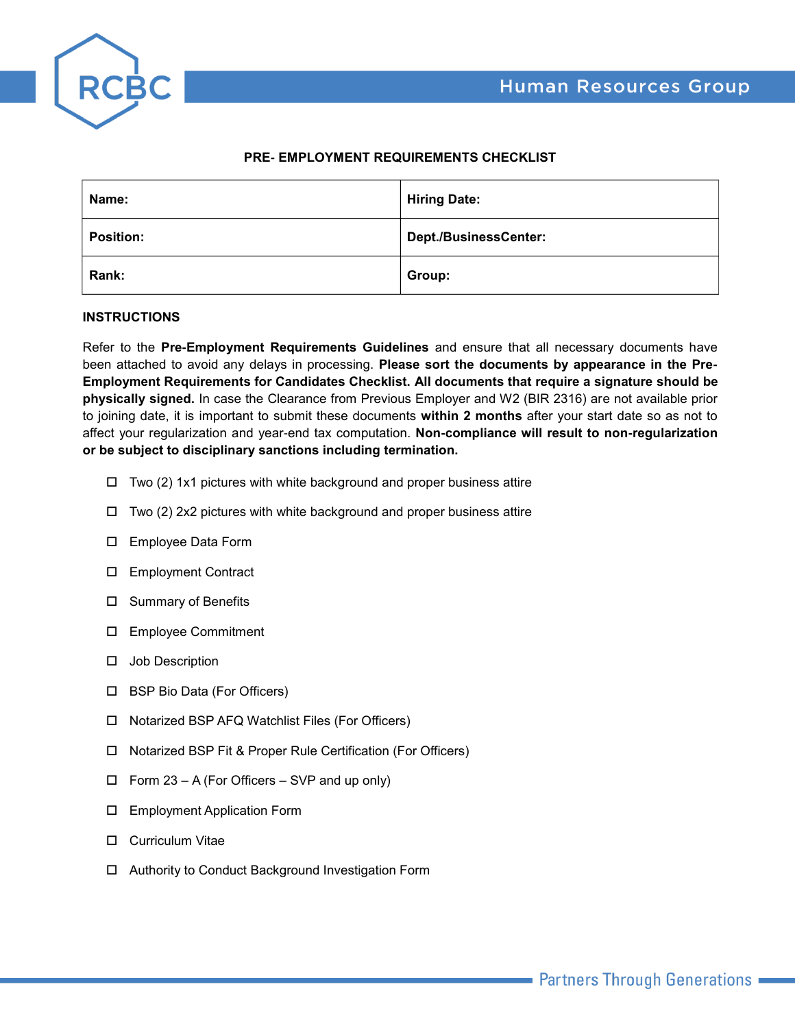



## **PRE- EMPLOYMENT REQUIREMENTS CHECKLIST**

| Name:            | <b>Hiring Date:</b>          |
|------------------|------------------------------|
| <b>Position:</b> | <b>Dept./BusinessCenter:</b> |
| Rank:            | Group:                       |

## **INSTRUCTIONS**

Refer to the **Pre-Employment Requirements Guidelines** and ensure that all necessary documents have been attached to avoid any delays in processing. **Please sort the documents by appearance in the Pre-Employment Requirements for Candidates Checklist. All documents that require a signature should be physically signed.** In case the Clearance from Previous Employer and W2 (BIR 2316) are not available prior to joining date, it is important to submit these documents **within 2 months** after your start date so as not to affect your regularization and year-end tax computation. **Non-compliance will result to non-regularization or be subject to disciplinary sanctions including termination.**

- $\Box$  Two (2) 1x1 pictures with white background and proper business attire
- $\square$  Two (2) 2x2 pictures with white background and proper business attire
- □ Employee Data Form
- □ Employment Contract
- $\square$  Summary of Benefits
- o Employee Commitment
- $\square$  Job Description
- □ BSP Bio Data (For Officers)
- $\square$  Notarized BSP AFQ Watchlist Files (For Officers)
- □ Notarized BSP Fit & Proper Rule Certification (For Officers)
- $\Box$  Form 23 A (For Officers SVP and up only)
- $\square$  Employment Application Form
- $\square$  Curriculum Vitae
- □ Authority to Conduct Background Investigation Form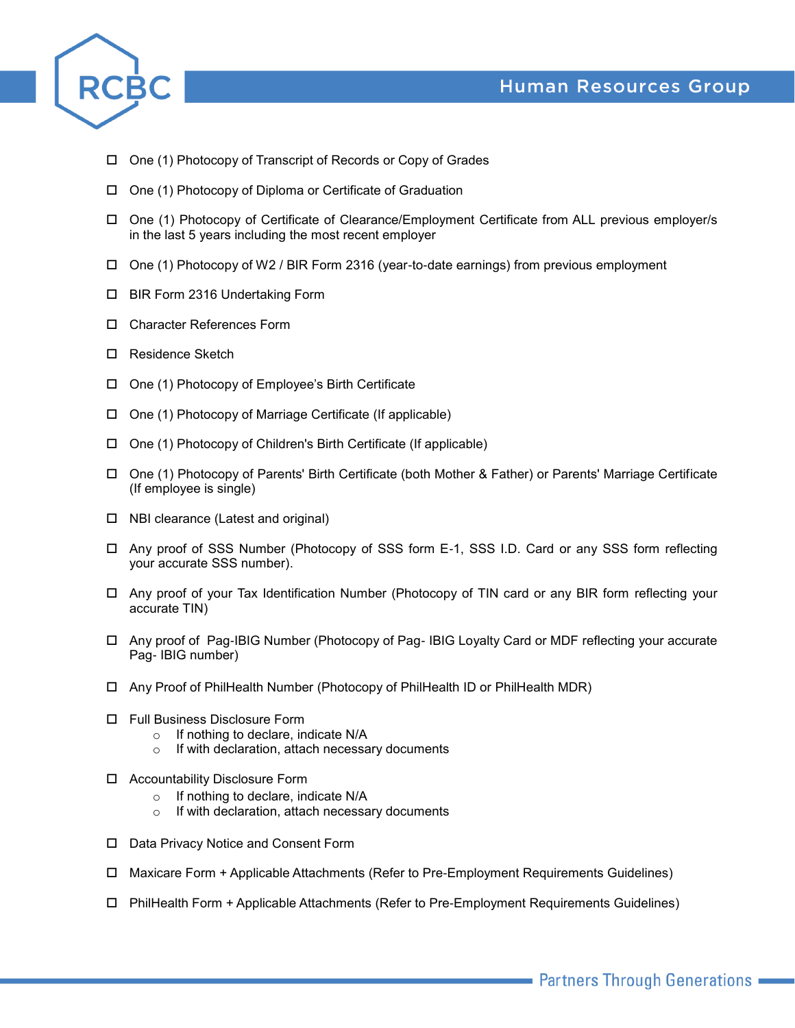



- $\Box$  One (1) Photocopy of Transcript of Records or Copy of Grades
- $\Box$  One (1) Photocopy of Diploma or Certificate of Graduation
- □ One (1) Photocopy of Certificate of Clearance/Employment Certificate from ALL previous employer/s in the last 5 years including the most recent employer
- $\Box$  One (1) Photocopy of W2 / BIR Form 2316 (year-to-date earnings) from previous employment
- □ BIR Form 2316 Undertaking Form
- □ Character References Form
- □ Residence Sketch
- $\Box$  One (1) Photocopy of Employee's Birth Certificate
- $\Box$  One (1) Photocopy of Marriage Certificate (If applicable)
- $\Box$  One (1) Photocopy of Children's Birth Certificate (If applicable)
- □ One (1) Photocopy of Parents' Birth Certificate (both Mother & Father) or Parents' Marriage Certificate (If employee is single)
- $\Box$  NBI clearance (Latest and original)
- □ Any proof of SSS Number (Photocopy of SSS form E-1, SSS I.D. Card or any SSS form reflecting your accurate SSS number).
- □ Any proof of your Tax Identification Number (Photocopy of TIN card or any BIR form reflecting your accurate TIN)
- □ Any proof of Pag-IBIG Number (Photocopy of Pag- IBIG Loyalty Card or MDF reflecting your accurate Pag- IBIG number)
- $\Box$  Any Proof of PhilHealth Number (Photocopy of PhilHealth ID or PhilHealth MDR)
- □ Full Business Disclosure Form
	- o If nothing to declare, indicate N/A
	- o If with declaration, attach necessary documents
- □ Accountability Disclosure Form
	- o If nothing to declare, indicate N/A
	- o If with declaration, attach necessary documents
- □ Data Privacy Notice and Consent Form
- $\Box$  Maxicare Form + Applicable Attachments (Refer to Pre-Employment Requirements Guidelines)
- o PhilHealth Form + Applicable Attachments (Refer to Pre-Employment Requirements Guidelines)